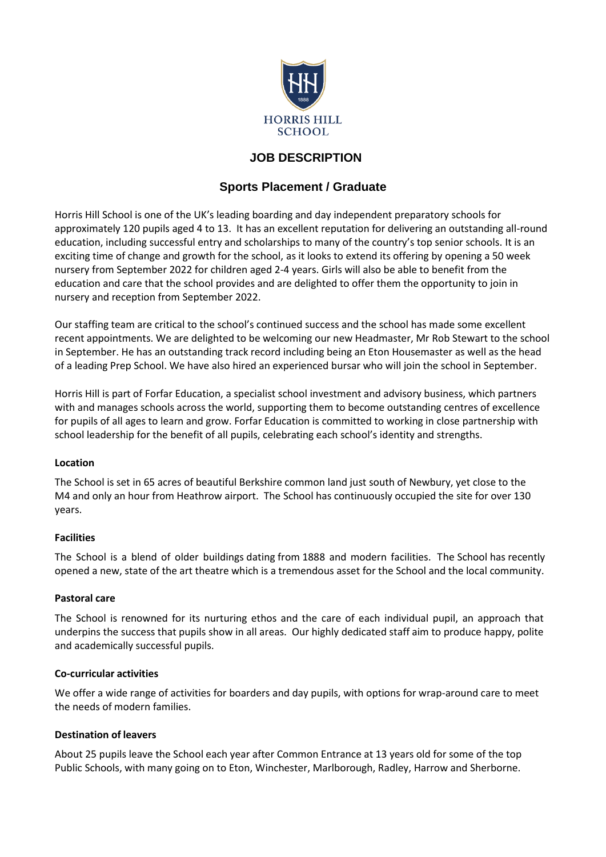

# **JOB DESCRIPTION**

# **Sports Placement / Graduate**

Horris Hill School is one of the UK's leading boarding and day independent preparatory schools for approximately 120 pupils aged 4 to 13. It has an excellent reputation for delivering an outstanding all-round education, including successful entry and scholarships to many of the country's top senior schools. It is an exciting time of change and growth for the school, as it looks to extend its offering by opening a 50 week nursery from September 2022 for children aged 2-4 years. Girls will also be able to benefit from the education and care that the school provides and are delighted to offer them the opportunity to join in nursery and reception from September 2022.

Our staffing team are critical to the school's continued success and the school has made some excellent recent appointments. We are delighted to be welcoming our new Headmaster, Mr Rob Stewart to the school in September. He has an outstanding track record including being an Eton Housemaster as well as the head of a leading Prep School. We have also hired an experienced bursar who will join the school in September.

Horris Hill is part of Forfar Education, a specialist school investment and advisory business, which partners with and manages schools across the world, supporting them to become outstanding centres of excellence for pupils of all ages to learn and grow. Forfar Education is committed to working in close partnership with school leadership for the benefit of all pupils, celebrating each school's identity and strengths.

### **Location**

The School is set in 65 acres of beautiful Berkshire common land just south of Newbury, yet close to the M4 and only an hour from Heathrow airport. The School has continuously occupied the site for over 130 years.

# **Facilities**

The School is a blend of older buildings dating from 1888 and modern facilities. The School has recently opened a new, state of the art theatre which is a tremendous asset for the School and the local community.

### **Pastoral care**

The School is renowned for its nurturing ethos and the care of each individual pupil, an approach that underpins the success that pupils show in all areas. Our highly dedicated staff aim to produce happy, polite and academically successful pupils.

### **Co-curricular activities**

We offer a wide range of activities for boarders and day pupils, with options for wrap-around care to meet the needs of modern families.

### **Destination of leavers**

About 25 pupils leave the School each year after Common Entrance at 13 years old for some of the top Public Schools, with many going on to Eton, Winchester, Marlborough, Radley, Harrow and Sherborne.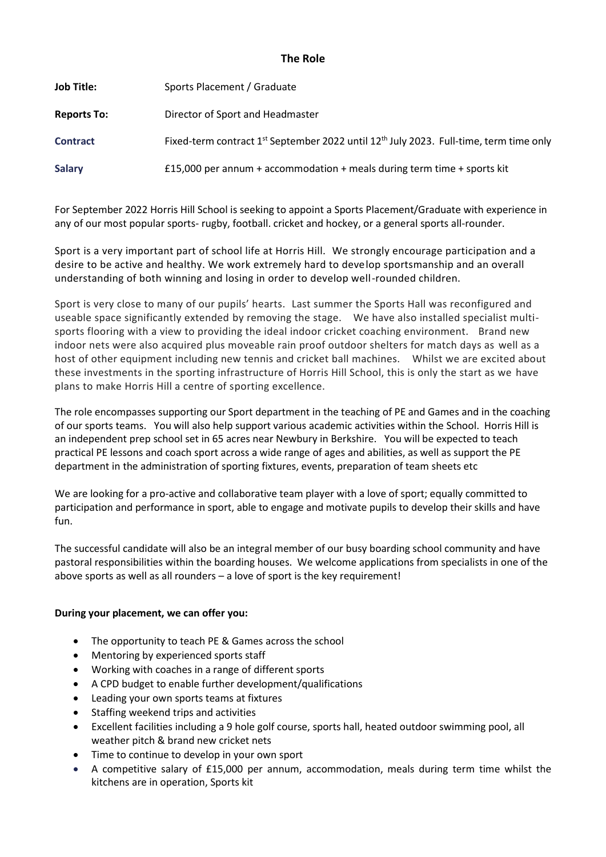### **The Role**

| <b>Job Title:</b>  | Sports Placement / Graduate                                                                                    |
|--------------------|----------------------------------------------------------------------------------------------------------------|
| <b>Reports To:</b> | Director of Sport and Headmaster                                                                               |
| <b>Contract</b>    | Fixed-term contract 1 <sup>st</sup> September 2022 until 12 <sup>th</sup> July 2023. Full-time, term time only |
| <b>Salary</b>      | £15,000 per annum + accommodation + meals during term time + sports kit                                        |

For September 2022 Horris Hill School is seeking to appoint a Sports Placement/Graduate with experience in any of our most popular sports- rugby, football. cricket and hockey, or a general sports all-rounder.

Sport is a very important part of school life at Horris Hill. We strongly encourage participation and a desire to be active and healthy. We work extremely hard to develop sportsmanship and an overall understanding of both winning and losing in order to develop well-rounded children.

Sport is very close to many of our pupils' hearts. Last summer the Sports Hall was reconfigured and useable space significantly extended by removing the stage. We have also installed specialist multisports flooring with a view to providing the ideal indoor cricket coaching environment. Brand new indoor nets were also acquired plus moveable rain proof outdoor shelters for match days as well as a host of other equipment including new tennis and cricket ball machines. Whilst we are excited about these investments in the sporting infrastructure of Horris Hill School, this is only the start as we have plans to make Horris Hill a centre of sporting excellence.

The role encompasses supporting our Sport department in the teaching of PE and Games and in the coaching of our sports teams. You will also help support various academic activities within the School. Horris Hill is an independent prep school set in 65 acres near Newbury in Berkshire. You will be expected to teach practical PE lessons and coach sport across a wide range of ages and abilities, as well as support the PE department in the administration of sporting fixtures, events, preparation of team sheets etc

We are looking for a pro-active and collaborative team player with a love of sport; equally committed to participation and performance in sport, able to engage and motivate pupils to develop their skills and have fun.

The successful candidate will also be an integral member of our busy boarding school community and have pastoral responsibilities within the boarding houses. We welcome applications from specialists in one of the above sports as well as all rounders – a love of sport is the key requirement!

# **During your placement, we can offer you:**

- The opportunity to teach PE & Games across the school
- Mentoring by experienced sports staff
- Working with coaches in a range of different sports
- A CPD budget to enable further development/qualifications
- Leading your own sports teams at fixtures
- Staffing weekend trips and activities
- Excellent facilities including a 9 hole golf course, sports hall, heated outdoor swimming pool, all weather pitch & brand new cricket nets
- Time to continue to develop in your own sport
- A competitive salary of £15,000 per annum, accommodation, meals during term time whilst the kitchens are in operation, Sports kit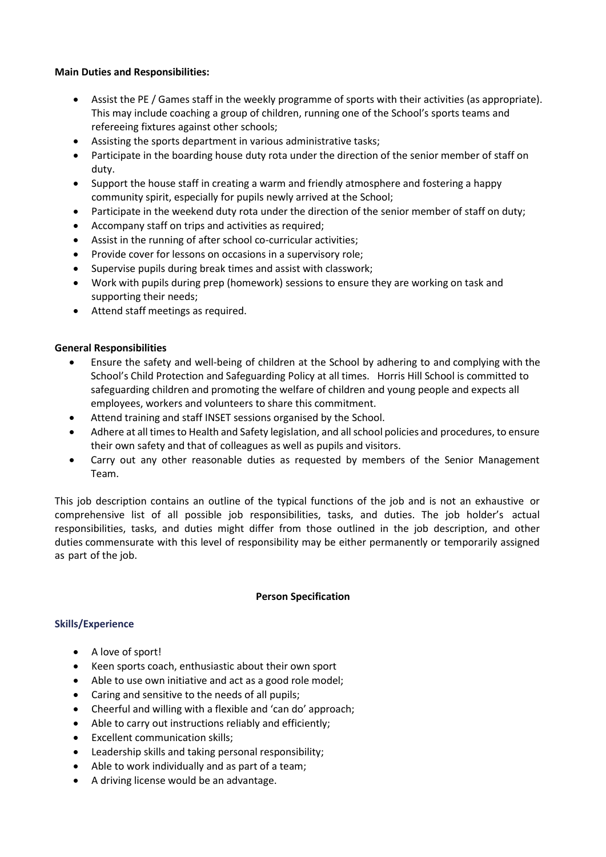### **Main Duties and Responsibilities:**

- Assist the PE / Games staff in the weekly programme of sports with their activities (as appropriate). This may include coaching a group of children, running one of the School's sports teams and refereeing fixtures against other schools;
- Assisting the sports department in various administrative tasks;
- Participate in the boarding house duty rota under the direction of the senior member of staff on duty.
- Support the house staff in creating a warm and friendly atmosphere and fostering a happy community spirit, especially for pupils newly arrived at the School;
- Participate in the weekend duty rota under the direction of the senior member of staff on duty;
- Accompany staff on trips and activities as required;
- Assist in the running of after school co-curricular activities;
- Provide cover for lessons on occasions in a supervisory role;
- Supervise pupils during break times and assist with classwork;
- Work with pupils during prep (homework) sessions to ensure they are working on task and supporting their needs;
- Attend staff meetings as required.

### **General Responsibilities**

- Ensure the safety and well-being of children at the School by adhering to and complying with the School's Child Protection and Safeguarding Policy at all times. Horris Hill School is committed to safeguarding children and promoting the welfare of children and young people and expects all employees, workers and volunteers to share this commitment.
- Attend training and staff INSET sessions organised by the School.
- Adhere at all times to Health and Safety legislation, and all school policies and procedures, to ensure their own safety and that of colleagues as well as pupils and visitors.
- Carry out any other reasonable duties as requested by members of the Senior Management Team.

This job description contains an outline of the typical functions of the job and is not an exhaustive or comprehensive list of all possible job responsibilities, tasks, and duties. The job holder's actual responsibilities, tasks, and duties might differ from those outlined in the job description, and other duties commensurate with this level of responsibility may be either permanently or temporarily assigned as part of the job.

### **Person Specification**

### **Skills/Experience**

- A love of sport!
- Keen sports coach, enthusiastic about their own sport
- Able to use own initiative and act as a good role model;
- Caring and sensitive to the needs of all pupils;
- Cheerful and willing with a flexible and 'can do' approach;
- Able to carry out instructions reliably and efficiently;
- Excellent communication skills;
- Leadership skills and taking personal responsibility;
- Able to work individually and as part of a team;
- A driving license would be an advantage.